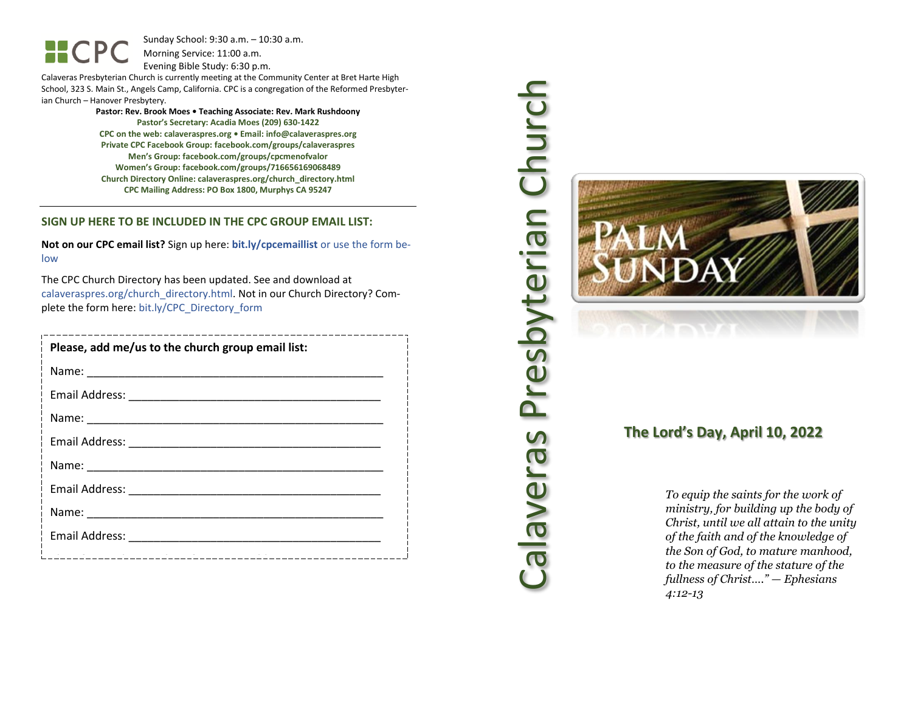$HCP$ 

Sunday School: 9: 3 0 a.m. – 10:30 a.m. Morning Service: 1 1 :00 a.m.

Evening Bible Study: 6: 30 p.m.

Calaveras Presbyterian Church is currently meeting at the Community Center at Bret Harte High School, 323 S. Main St., Angels Camp, California. CPC is a congregation of the Reformed Presbyterian Church – Hanover Presbytery.

> **Pastor: Rev. Brook Moes • Teaching Associate: Rev. Mark Rushdoony Pastor's Secretary: Acadia Moes (209) 630 -1422 CPC on the web: calaveraspres.org • Email: [info@calaveraspres.org](mailto:info@calaveraspres.org) Private CPC Facebook Group: facebook.com/groups/calaveraspres Men's Group: facebook.com/groups/cpcmenofvalor Women's Group: facebook.com/groups/716656169068489 Church Directory Online: calaveraspres.org/church \_directory.html CPC Mailing Address: PO Box 1800, Murphys CA 95247**

#### **SIGN UP HERE TO BE INCLUDED IN THE CPC GROUP EMAIL LIST:**

**Not on our CPC email list?** Sign up here: **bit.ly/cpcemaillist** or use the form below

The CPC Church Directory has been updated. See and download at calaveraspres.org/church\_directory.html. Not in our Church Directory? Complete the form here: bit.ly/CPC\_Directory\_form

| Please, add me/us to the church group email list: |
|---------------------------------------------------|
|                                                   |
|                                                   |
|                                                   |
|                                                   |
|                                                   |
|                                                   |
|                                                   |
|                                                   |
|                                                   |



# **The Lord's Day, April 10, 202 2**

*To equip the saints for the work of ministry, for building up the body of Christ, until we all attain to the unity of the faith and of the knowledge of the Son of God, to mature manhood, to the measure of the stature of the fullness of Christ…." — Ephesians 4:12 -13*